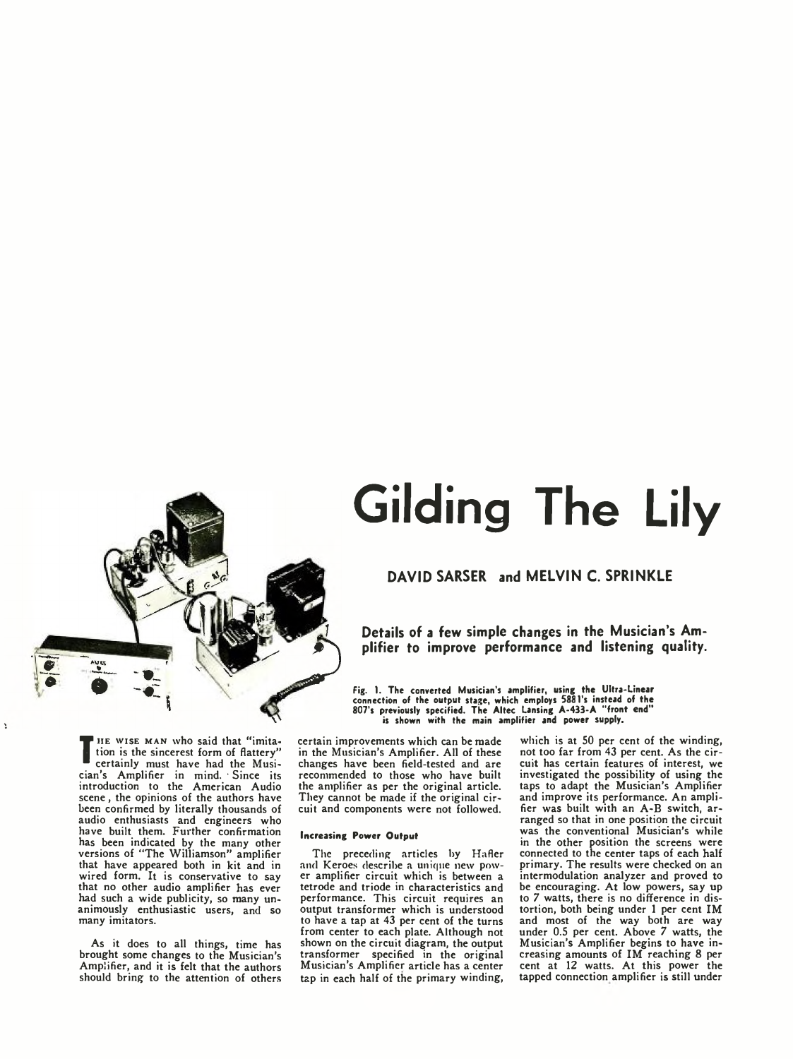

# **Gilding The Lily**

# **DAVID SARSER and MELVIN C. SPRINKLE**

**Details of a few simple changes in the Musician's Amplifier to improve performance and listening quality.**

Fig. 1. The converted Musician's amplifier, using the Ultra-Linear connection of the output stage, which employs 588 l's instead of the 807's previously specified. The Altec Lansing A-433-A "front end" is shown with the main amplifier and power supply.

**T** tion is the sincerest form of nattery<br>
certainly must have had the Musi-<br>
since a analiser in mind Since its I HE WISE MAN who said that "imitation is the sincerest form of flattery" cian's Amplifier in mind. ' Since its introduction to the American Audio scene, the opinions of the authors have been confirmed by literally thousands of audio enthusiasts and engineers who have built them. Further confirmation has been indicated by the many other versions of "The Williamson" amplifier that have appeared both in kit and in wired form. It is conservative to say that no other audio amplifier has ever had such a wide publicity, so many unanimously enthusiastic users, and so many imitators.

 $\cdot$ 

As it does to all things, time has brought some changes to the Musician's Amplifier, and it is felt that the authors should bring to the attention of others

certain improvements which can be made in the Musician's Amplifier. All of these changes have been field-tested and are recommended to those who have built the amplifier as per the original article. They cannot be made if the original circuit and components were not followed.

#### Increasing Power Output

The preceding articles by Hafler and Keroes describe a unique new power amplifier circuit which is between a tetrode and triode in characteristics and performance. This circuit requires an output transformer which is understood to have a tap at 43 per cent of the turns from center to each plate. Although not shown on the circuit diagram, the output transformer specified in the original Musician's Amplifier article has a center tap in each half of the primary winding,

which is at SO per cent of the winding, not too far from 43 per cent. As the circuit has certain features of interest, we investigated the possibility of using the taps to adapt the Musician's Amplifier and improve its performance. An amplifier was built with an A-B switch, arranged so that in one position the circuit was the conventional Musician's while in the other position the screens were connected to the center taps of each half primary. The results were checked on an intermodulation analyzer and proved to be encouraging. At low powers, say up to 7 watts, there is no difference in distortion, both being under 1 per cent IM and most of the way both are way under 0.5 per cent. Above 7 watts, the Musician's Amplifier begins to have increasing amounts of IM reaching 8 per cent at 12 watts. At this power the tapped connection amplifier is still under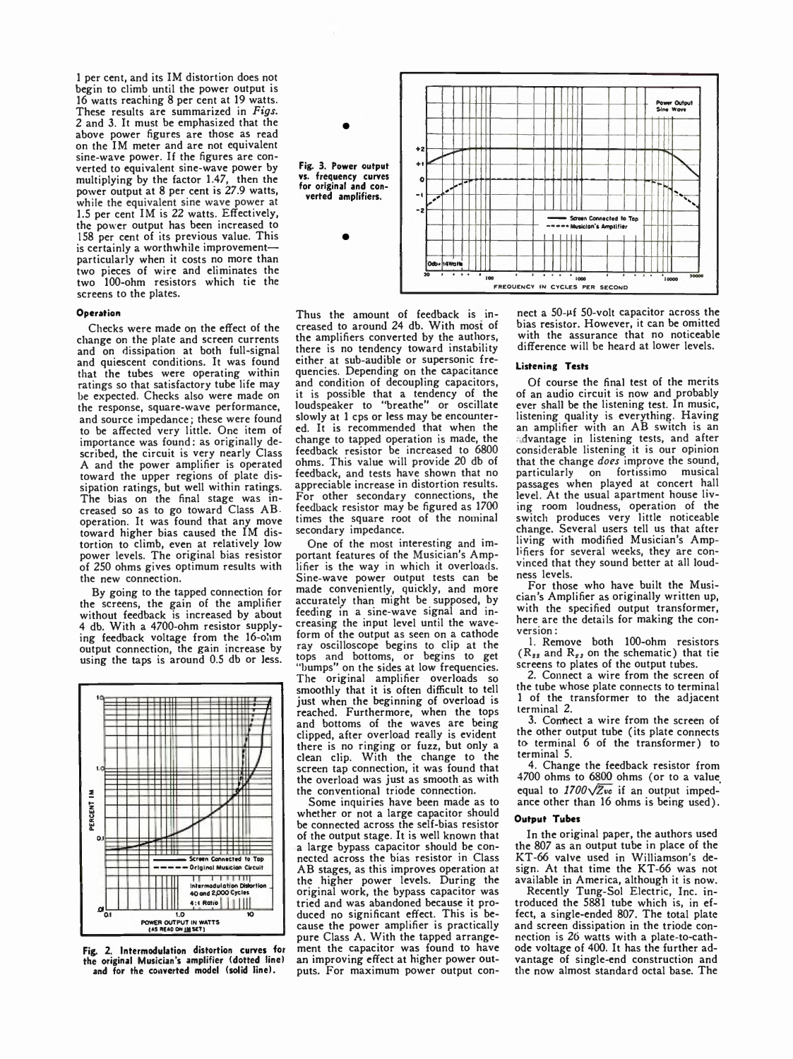1 per cent, and its IM distortion does not begin to climb until the power output is 16 watts reaching 8 per cent at 19 watts. These results are summarized in *Figs.* 2 and 3. It must be emphasized that the above power figures are those as read on the IM meter and are not equivalent sine-wave power. If the figures are converted to equivalent sine-wave power by multiplying by the factor 1.47, then the power output at 8 per cent is 27.9 watts, while the equivalent sine wave power at 1.5 per cent IM is 22 watts. Effectively, the power output has been increased to 158 per cent of its previous value. This is certainly a worthwhile improvement particularly when it costs no more than two pieces of wire and eliminates the two 100-ohm resistors which tie the screens to the plates.

#### Operation

Checks were made on the effect of the change on the plate and screen currents and on dissipation at both full-signal and quiescent conditions. It was found that the tubes were operating within ratings so that satisfactory tube life may be expected. Checks also were made on the response, square-wave performance, and source impedance; these were found to be affected very little. One item of importance was found: as originally described, the circuit is very nearly Class A and the power amplifier is operated toward the upper regions of plate dissipation ratings, but well within ratings. The bias on the final stage was increased so as to go toward Class AB. operation. It was found that any move toward higher bias caused the IM distortion to climb, even at relatively low power levels. The original bias resistor of 250 ohms gives optimum results with the new connection.

By going to the tapped connection for the screens, the gain of the amplifier without feedback is increased by about 4 db. With a 4700-ohm resistor supplying feedback voltage from the 16-ohm output connection, the gain increase by using the taps is around 0.5 db or less.



Fig. 2. Intermodulation distortion curves for the original Musician's amplifier (dotted line) and for the converted model (solid line).



Thus the amount of feedback is increased to around 24 db. With most of the amplifiers converted by the authors, there is no tendency toward instability either at sub-audible or supersonic frequencies. Depending on the capacitance and condition of decoupling capacitors, it is possible that a tendency of the loudspeaker to "breathe" or oscillate slowly at 1 cps or less may be encountered. It is recommended that when the change to tapped operation is made, the feedback resistor be increased to 6800 ohms. This value will provide 20 db of feedback, and tests have shown that no appreciable increase in distortion results. For other secondary connections, the feedback resistor may be figured as 1700 times the square root of the nominal secondary impedance.

One of the most interesting and important features of the Musician's Amplifier is the way in which it overloads. Sine-wave power output tests can be made conveniently, quickly, and more accurately than might be supposed, by feeding in a sine-wave signal and increasing the input level until the waveform of the output as seen on a cathode ray oscilloscope begins to clip at the tops and bottoms, or begins to get "bumps" on the sides at low frequencies. The original amplifier overloads so smoothly that it is often difficult to tell just when the beginning of overload is reached. Furthermore, when the tops and bottoms of the waves are being clipped, after overload really is evident there is no ringing or fuzz, but only a clean clip. With the change to the screen tap connection, it was found that the overload was just as smooth as with the conventional triode connection.

Some inquiries have been made as to whether or not a large capacitor should be connected across the self-bias resistor of the output stage. It is well known that a large bypass capacitor should be connected across the bias resistor in Class AB stages, as this improves operation at the higher power levels. During the original work, the bypass capacitor was tried and was abandoned because it produced no significant effect. This is because the power amplifier is practically pure Class A. With the tapped arrangement the capacitor was found to have an improving effect at higher power outputs. For maximum power output connect a 50- $\mu$ f 50-volt capacitor across the bias resistor. However, it can be omitted with the assurance that no noticeable difference will be heard at lower levels.

## Listening Tests

Of course the final test of the merits of an audio circuit is now and probably ever shall be the listening test. In music, listening quality is everything. Having an amplifier with an AB switch is an dvantage in listening tests, and after considerable listening it is our opinion that the change *does* improve the sound, on fortissimo musical passages when played at concert hall level. At the usual apartment house living room loudness, operation of the switch produces very little noticeable change. Several users tell us that after living with modified Musician's Amplifiers for several weeks, they are convinced that they sound better at all loudness levels.

For those who have built the Musician's Amplifier as originally written up, with the specified output transformer, here are the details for making the conversion :

1. Remove both 100-ohm resistors  $(R_{ss}$  and  $R_{ss}$  on the schematic) that tie screens to plates of the output tubes.

2. Connect a wire from the screen of the tube whose plate connects to terminal 1 of the transformer to the adjacent terminal 2.

3. Connect a wire from the screen of the other output tube (its plate connects to terminal 6 of the transformer) to terminal 5.

4. Change the feedback resistor from 4700 ohms to 6800 ohms (or to a value equal to *1100\/Zvc* if an output impedance other than 16 ohms is being used).

# Output Tubes

In the original paper, the authors used the 807 as an output tube in place of the KT-66 valve used in Williamson's design. At that time the KT-66 was not available in America, although it is now.

Recently Tung-Sol Electric, Inc. in-troduced the 5881 tube which is, in effect, a single-ended 807. The total plate and screen dissipation in the triode connection is 26 watts with a plate-to-cathode voltage of 400. It has the further advantage of single-end construction and the now almost standard octal base. The